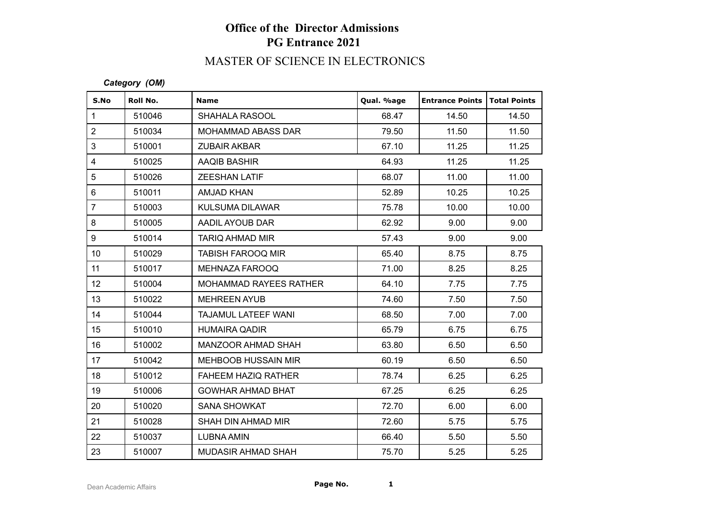## **Office of the Director Admissions PG Entrance 2021**

# MASTER OF SCIENCE IN ELECTRONICS

#### *Category (OM)*

| S.No             | Roll No. | <b>Name</b>                | Qual. %age | <b>Entrance Points</b> | <b>Total Points</b> |
|------------------|----------|----------------------------|------------|------------------------|---------------------|
| $\mathbf{1}$     | 510046   | <b>SHAHALA RASOOL</b>      | 68.47      | 14.50                  | 14.50               |
| $\overline{2}$   | 510034   | MOHAMMAD ABASS DAR         | 79.50      | 11.50                  | 11.50               |
| 3                | 510001   | <b>ZUBAIR AKBAR</b>        | 67.10      | 11.25                  | 11.25               |
| $\overline{4}$   | 510025   | AAQIB BASHIR               | 64.93      | 11.25                  | 11.25               |
| 5                | 510026   | <b>ZEESHAN LATIF</b>       | 68.07      | 11.00                  | 11.00               |
| $6\phantom{1}$   | 510011   | <b>AMJAD KHAN</b>          | 52.89      | 10.25                  | 10.25               |
| $\overline{7}$   | 510003   | <b>KULSUMA DILAWAR</b>     | 75.78      | 10.00                  | 10.00               |
| 8                | 510005   | AADIL AYOUB DAR            | 62.92      | 9.00                   | 9.00                |
| 9                | 510014   | TARIQ AHMAD MIR            | 57.43      | 9.00                   | 9.00                |
| 10 <sup>°</sup>  | 510029   | <b>TABISH FAROOQ MIR</b>   | 65.40      | 8.75                   | 8.75                |
| 11               | 510017   | MEHNAZA FAROOQ             | 71.00      | 8.25                   | 8.25                |
| 12               | 510004   | MOHAMMAD RAYEES RATHER     | 64.10      | 7.75                   | 7.75                |
| 13               | 510022   | <b>MEHREEN AYUB</b>        | 74.60      | 7.50                   | 7.50                |
| 14               | 510044   | TAJAMUL LATEEF WANI        | 68.50      | 7.00                   | 7.00                |
| 15 <sub>15</sub> | 510010   | <b>HUMAIRA QADIR</b>       | 65.79      | 6.75                   | 6.75                |
| 16               | 510002   | MANZOOR AHMAD SHAH         | 63.80      | 6.50                   | 6.50                |
| 17               | 510042   | <b>MEHBOOB HUSSAIN MIR</b> | 60.19      | 6.50                   | 6.50                |
| 18               | 510012   | <b>FAHEEM HAZIQ RATHER</b> | 78.74      | 6.25                   | 6.25                |
| 19               | 510006   | <b>GOWHAR AHMAD BHAT</b>   | 67.25      | 6.25                   | 6.25                |
| 20               | 510020   | <b>SANA SHOWKAT</b>        | 72.70      | 6.00                   | 6.00                |
| 21               | 510028   | SHAH DIN AHMAD MIR         | 72.60      | 5.75                   | 5.75                |
| 22               | 510037   | <b>LUBNA AMIN</b>          | 66.40      | 5.50                   | 5.50                |
| 23               | 510007   | <b>MUDASIR AHMAD SHAH</b>  | 75.70      | 5.25                   | 5.25                |